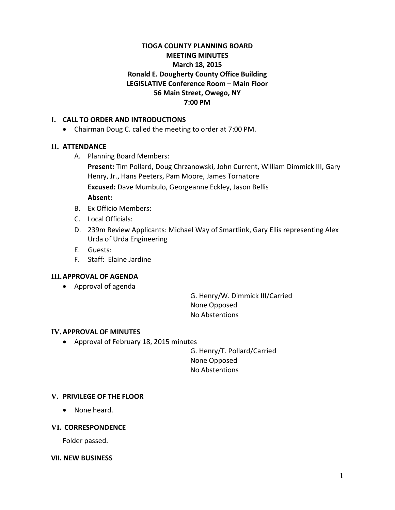# **TIOGA COUNTY PLANNING BOARD MEETING MINUTES March 18, 2015 Ronald E. Dougherty County Office Building LEGISLATIVE Conference Room – Main Floor 56 Main Street, Owego, NY 7:00 PM**

# **I. CALL TO ORDER AND INTRODUCTIONS**

• Chairman Doug C. called the meeting to order at 7:00 PM.

# **II. ATTENDANCE**

A. Planning Board Members:

**Present:** Tim Pollard, Doug Chrzanowski, John Current, William Dimmick III, Gary Henry, Jr., Hans Peeters, Pam Moore, James Tornatore **Excused:** Dave Mumbulo, Georgeanne Eckley, Jason Bellis **Absent:**

- B. Ex Officio Members:
- C. Local Officials:
- D. 239m Review Applicants: Michael Way of Smartlink, Gary Ellis representing Alex Urda of Urda Engineering
- E. Guests:
- F. Staff: Elaine Jardine

# **III.APPROVAL OF AGENDA**

• Approval of agenda

G. Henry/W. Dimmick III/Carried None Opposed No Abstentions

#### **IV.APPROVAL OF MINUTES**

• Approval of February 18, 2015 minutes

G. Henry/T. Pollard/Carried None Opposed No Abstentions

# **V. PRIVILEGE OF THE FLOOR**

• None heard.

#### **VI. CORRESPONDENCE**

Folder passed.

#### **VII. NEW BUSINESS**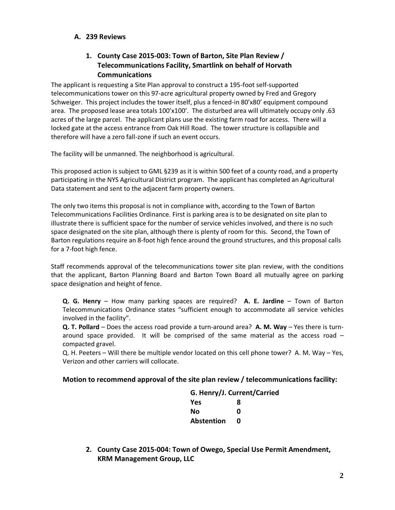### **A. 239 Reviews**

# **1. County Case 2015-003: Town of Barton, Site Plan Review / Telecommunications Facility, Smartlink on behalf of Horvath Communications**

The applicant is requesting a Site Plan approval to construct a 195-foot self-supported telecommunications tower on this 97-acre agricultural property owned by Fred and Gregory Schweiger. This project includes the tower itself, plus a fenced-in 80'x80' equipment compound area. The proposed lease area totals 100'x100'. The disturbed area will ultimately occupy only .63 acres of the large parcel. The applicant plans use the existing farm road for access. There will a locked gate at the access entrance from Oak Hill Road. The tower structure is collapsible and therefore will have a zero fall-zone if such an event occurs.

The facility will be unmanned. The neighborhood is agricultural.

This proposed action is subject to GML §239 as it is within 500 feet of a county road, and a property participating in the NYS Agricultural District program. The applicant has completed an Agricultural Data statement and sent to the adjacent farm property owners.

The only two items this proposal is not in compliance with, according to the Town of Barton Telecommunications Facilities Ordinance. First is parking area is to be designated on site plan to illustrate there is sufficient space for the number of service vehicles involved, and there is no such space designated on the site plan, although there is plenty of room for this. Second, the Town of Barton regulations require an 8-foot high fence around the ground structures, and this proposal calls for a 7-foot high fence.

Staff recommends approval of the telecommunications tower site plan review, with the conditions that the applicant, Barton Planning Board and Barton Town Board all mutually agree on parking space designation and height of fence.

**Q. G. Henry** – How many parking spaces are required? **A. E. Jardine** – Town of Barton Telecommunications Ordinance states "sufficient enough to accommodate all service vehicles involved in the facility".

**Q. T. Pollard** – Does the access road provide a turn-around area? **A. M. Way** – Yes there is turnaround space provided. It will be comprised of the same material as the access road – compacted gravel.

Q. H. Peeters – Will there be multiple vendor located on this cell phone tower? A. M. Way – Yes, Verizon and other carriers will collocate.

#### **Motion to recommend approval of the site plan review / telecommunications facility:**

| G. Henry/J. Current/Carried |
|-----------------------------|
| 8                           |
| U                           |
| U                           |
|                             |

**2. County Case 2015-004: Town of Owego, Special Use Permit Amendment, KRM Management Group, LLC**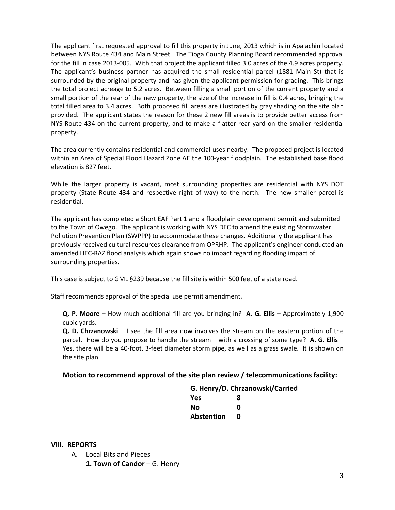The applicant first requested approval to fill this property in June, 2013 which is in Apalachin located between NYS Route 434 and Main Street. The Tioga County Planning Board recommended approval for the fill in case 2013-005. With that project the applicant filled 3.0 acres of the 4.9 acres property. The applicant's business partner has acquired the small residential parcel (1881 Main St) that is surrounded by the original property and has given the applicant permission for grading. This brings the total project acreage to 5.2 acres. Between filling a small portion of the current property and a small portion of the rear of the new property, the size of the increase in fill is 0.4 acres, bringing the total filled area to 3.4 acres. Both proposed fill areas are illustrated by gray shading on the site plan provided. The applicant states the reason for these 2 new fill areas is to provide better access from NYS Route 434 on the current property, and to make a flatter rear yard on the smaller residential property.

The area currently contains residential and commercial uses nearby. The proposed project is located within an Area of Special Flood Hazard Zone AE the 100-year floodplain. The established base flood elevation is 827 feet.

While the larger property is vacant, most surrounding properties are residential with NYS DOT property (State Route 434 and respective right of way) to the north. The new smaller parcel is residential.

The applicant has completed a Short EAF Part 1 and a floodplain development permit and submitted to the Town of Owego. The applicant is working with NYS DEC to amend the existing Stormwater Pollution Prevention Plan (SWPPP) to accommodate these changes. Additionally the applicant has previously received cultural resources clearance from OPRHP. The applicant's engineer conducted an amended HEC-RAZ flood analysis which again shows no impact regarding flooding impact of surrounding properties.

This case is subject to GML §239 because the fill site is within 500 feet of a state road.

Staff recommends approval of the special use permit amendment.

**Q. P. Moore** – How much additional fill are you bringing in? **A. G. Ellis** – Approximately 1,900 cubic yards.

**Q. D. Chrzanowski** – I see the fill area now involves the stream on the eastern portion of the parcel. How do you propose to handle the stream – with a crossing of some type? **A. G. Ellis** – Yes, there will be a 40-foot, 3-feet diameter storm pipe, as well as a grass swale. It is shown on the site plan.

#### **Motion to recommend approval of the site plan review / telecommunications facility:**

#### **G. Henry/D. Chrzanowski/Carried**

| Yes               | 8 |
|-------------------|---|
| Nο                | Ω |
| <b>Abstention</b> | Ω |

**VIII. REPORTS**

- A. Local Bits and Pieces
	- 1. Town of Candor G. Henry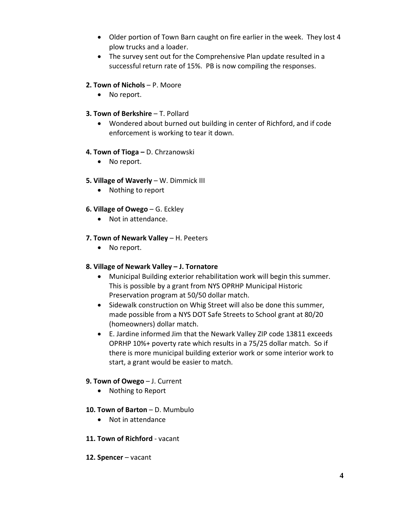- Older portion of Town Barn caught on fire earlier in the week. They lost 4 plow trucks and a loader.
- The survey sent out for the Comprehensive Plan update resulted in a successful return rate of 15%. PB is now compiling the responses.

# **2. Town of Nichols** – P. Moore

• No report.

# **3. Town of Berkshire - T. Pollard**

• Wondered about burned out building in center of Richford, and if code enforcement is working to tear it down.

# **4. Town of Tioga –** D. Chrzanowski

• No report.

# **5. Village of Waverly** – W. Dimmick III

• Nothing to report

# **6. Village of Owego** – G. Eckley

• Not in attendance.

# **7. Town of Newark Valley** – H. Peeters

• No report.

# **8. Village of Newark Valley – J. Tornatore**

- Municipal Building exterior rehabilitation work will begin this summer. This is possible by a grant from NYS OPRHP Municipal Historic Preservation program at 50/50 dollar match.
- Sidewalk construction on Whig Street will also be done this summer, made possible from a NYS DOT Safe Streets to School grant at 80/20 (homeowners) dollar match.
- E. Jardine informed Jim that the Newark Valley ZIP code 13811 exceeds OPRHP 10%+ poverty rate which results in a 75/25 dollar match. So if there is more municipal building exterior work or some interior work to start, a grant would be easier to match.

# **9. Town of Owego** – J. Current

- Nothing to Report
- **10. Town of Barton** D. Mumbulo
	- Not in attendance
- **11. Town of Richford** vacant
- **12. Spencer** vacant